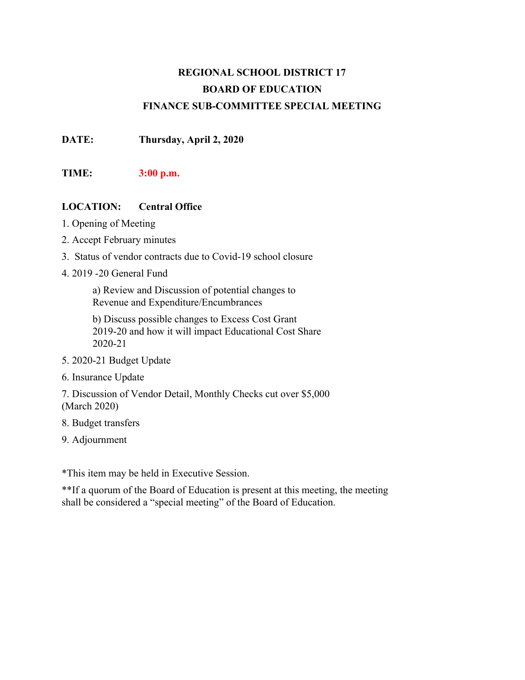### **REGIONAL SCHOOL DISTRICT 17 BOARD OF EDUCATION FINANCE SUB-COMMITTEE SPECIAL MEETING**

**DATE: Thursday, April 2, 2020**

#### **TIME: 3:00 p.m.**

#### **LOCATION: Central Office**

- 1. Opening of Meeting
- 2. Accept February minutes
- 3. Status of vendor contracts due to Covid-19 school closure
- 4. 2019 -20 General Fund

a) Review and Discussion of potential changes to Revenue and Expenditure/Encumbrances

b) Discuss possible changes to Excess Cost Grant 2019-20 and how it will impact Educational Cost Share 2020-21

- 5. 2020-21 Budget Update
- 6. Insurance Update

7. Discussion of Vendor Detail, Monthly Checks cut over \$5,000 (March 2020)

- 8. Budget transfers
- 9. Adjournment

\*This item may be held in Executive Session.

\*\*If a quorum of the Board of Education is present at this meeting, the meeting shall be considered a "special meeting" of the Board of Education.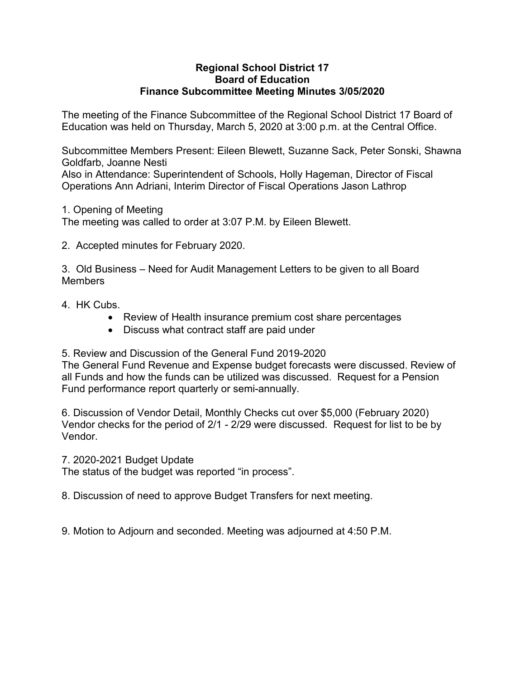#### **Regional School District 17 Board of Education Finance Subcommittee Meeting Minutes 3/05/2020**

The meeting of the Finance Subcommittee of the Regional School District 17 Board of Education was held on Thursday, March 5, 2020 at 3:00 p.m. at the Central Office.

Subcommittee Members Present: Eileen Blewett, Suzanne Sack, Peter Sonski, Shawna Goldfarb, Joanne Nesti Also in Attendance: Superintendent of Schools, Holly Hageman, Director of Fiscal Operations Ann Adriani, Interim Director of Fiscal Operations Jason Lathrop

1. Opening of Meeting

The meeting was called to order at 3:07 P.M. by Eileen Blewett.

2. Accepted minutes for February 2020.

3. Old Business – Need for Audit Management Letters to be given to all Board Members

- 4. HK Cubs.
	- Review of Health insurance premium cost share percentages
	- Discuss what contract staff are paid under

5. Review and Discussion of the General Fund 2019-2020

The General Fund Revenue and Expense budget forecasts were discussed. Review of all Funds and how the funds can be utilized was discussed. Request for a Pension Fund performance report quarterly or semi-annually.

6. Discussion of Vendor Detail, Monthly Checks cut over \$5,000 (February 2020) Vendor checks for the period of 2/1 - 2/29 were discussed. Request for list to be by Vendor.

7. 2020-2021 Budget Update

The status of the budget was reported "in process".

8. Discussion of need to approve Budget Transfers for next meeting.

9. Motion to Adjourn and seconded. Meeting was adjourned at 4:50 P.M.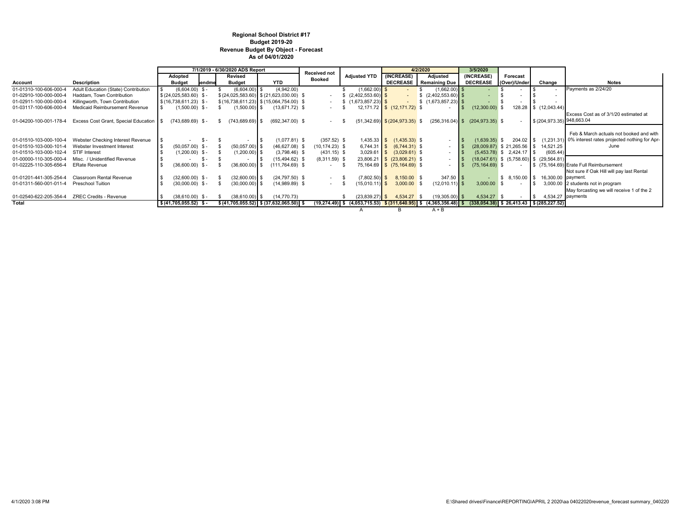#### **Regional School District #17 Budget 2019-20 Revenue Budget By Object - Forecast As of 04/01/2020**

|                        |                                                  | 7/1/2019 - 6/30/2020 ADS Report |                   |                          | Received not                                        |                   |                                 | 4/2/2020                           | 3/5/2020                                                                                                                   |                    |                               |                                                |                                                                     |
|------------------------|--------------------------------------------------|---------------------------------|-------------------|--------------------------|-----------------------------------------------------|-------------------|---------------------------------|------------------------------------|----------------------------------------------------------------------------------------------------------------------------|--------------------|-------------------------------|------------------------------------------------|---------------------------------------------------------------------|
|                        |                                                  | Adopted                         |                   | Revised                  |                                                     | <b>Booked</b>     | <b>Adjusted YTD</b>             | (INCREASE)                         | Adjusted                                                                                                                   | (INCREASE)         | Forecast                      |                                                |                                                                     |
| Account                | Description                                      | <b>Budget</b>                   | lendme            | <b>Budget</b>            | <b>YTD</b>                                          |                   |                                 |                                    | <b>DECREASE</b> Remaining Due                                                                                              | <b>DECREASE</b>    | (Over)/Under                  | Change                                         | Notes                                                               |
| 01-01310-100-606-000-4 | Adult Education (State) Contribution             |                                 | $(6,604.00)$ \$-  | $(6,604.00)$ \$          | (4,942.00)                                          |                   | $(1,662.00)$ \$                 |                                    | $(1,662.00)$ \$                                                                                                            |                    |                               |                                                | Payments as 2/24/20                                                 |
| 01-02910-100-000-000-4 | Haddam, Town Contribution                        | $$ (24,025,583.60)$ \$-         |                   |                          | $$(24,025,583.60)$ $$(21,623,030.00)$ \;            |                   | $\frac{1}{2}$ (2,402,553.60) \$ |                                    |                                                                                                                            |                    |                               |                                                |                                                                     |
| 01-02911-100-000-000-4 | Killingworth, Town Contribution                  | $$(16,738,611.23)$ \$-          |                   |                          | $$(16,738,611.23)$ $$(15,064,754.00)$ \$            |                   |                                 |                                    | $\frac{1}{2}$ (1,673,857.23) \$                                                                                            |                    |                               |                                                |                                                                     |
| 01-03117-100-606-000-4 | Medicaid Reimbursement Revenue                   |                                 | $(1,500.00)$ \$-  | $(1,500.00)$ \$          | $(13,671.72)$ \$                                    |                   |                                 | 12,171.72 \$ (12,171.72) \$        | $\sim$                                                                                                                     | (12,300.00)        |                               | 128.28 \$ (12,043.44)                          |                                                                     |
|                        |                                                  |                                 |                   |                          |                                                     |                   |                                 |                                    |                                                                                                                            |                    |                               |                                                | Excess Cost as of 3/1/20 estimated at                               |
| 01-04200-100-001-178-4 | Excess Cost Grant, Special Education   \$        | $(743, 689.69)$ \$-             |                   | $(743, 689.69)$ \$<br>S. | $(692, 347.00)$ \$                                  |                   |                                 | $(51,342.69)$ \$ $(204,973.35)$ \$ | $(256, 316.04)$ \$                                                                                                         | $(204, 973.35)$ \$ |                               | \$(204,973.35) 948,663.04                      |                                                                     |
|                        |                                                  |                                 |                   |                          |                                                     |                   |                                 |                                    |                                                                                                                            |                    |                               |                                                |                                                                     |
|                        |                                                  |                                 |                   |                          |                                                     |                   |                                 |                                    |                                                                                                                            |                    |                               |                                                | Feb & March actuals not booked and with                             |
| 01-01510-103-000-100-4 | Webster Checking Interest Revenue                |                                 | - SS –            |                          | $(1,077.81)$ \$                                     | $(357.52)$ \$     |                                 | $1,435.33$ \$ $(1,435.33)$ \$      |                                                                                                                            | $(1,639.35)$ \$    |                               |                                                | 204.02 \ \$ (1,231.31) 0% interest rates projected nothing for Apr- |
| 01-01510-103-000-101-4 | Webster Investment Interest                      |                                 | $(50,057.00)$ \$- | $(50,057.00)$ \$         | $(46,627.08)$ \$                                    | $(10, 174.23)$ \$ |                                 | $6,744.31$ \$ $(6,744.31)$ \$      | ۰                                                                                                                          |                    |                               | $(28,009.87)$ \$ 21,265.56 \$ 14,521.25        | June                                                                |
| 01-01510-103-000-102-4 | STIF Interest                                    |                                 | $(1,200.00)$ \$-  | $(1,200.00)$ \$          | $(3,798.46)$ \$                                     | $(431.15)$ \$     |                                 | $3,029.61$ \$ $(3,029.61)$ \$      | ۰                                                                                                                          |                    | $(5.453.78)$ \$ 2.424.17 \ \$ | (605.44)                                       |                                                                     |
| 01-00000-110-305-000-4 | Misc. / Unidentified Revenue                     |                                 | $S -$             |                          | $(15,494.62)$ \$                                    | $(8,311.59)$ \$   |                                 | 23,806.21 \$ (23,806.21) \$        | $\sim$                                                                                                                     |                    |                               | $(18,047.61)$ \$ $(5,758.60)$ \$ $(29,564.81)$ |                                                                     |
| 01-02225-110-305-656-4 | <b>ERate Revenue</b>                             |                                 | $(36,600.00)$ \$- | $(36,600.00)$ \$         | $(111,764.69)$ \$                                   |                   |                                 | 75,164.69 \$ (75,164.69) \$        | $\sim$                                                                                                                     | $(75, 164.69)$ \$  |                               |                                                | \$ (75.164.69) Erate Full Reimbursement                             |
|                        |                                                  |                                 |                   |                          |                                                     |                   |                                 |                                    |                                                                                                                            |                    |                               |                                                | Not sure if Oak Hill will pay last Rental                           |
| 01-01201-441-305-254-4 | Classroom Rental Revenue                         |                                 | $(32,600.00)$ \$- | $(32,600.00)$ \$         | $(24,797.50)$ \$                                    |                   | $(7,802.50)$ \$                 | 8,150.00 \$                        | $347.50$ \$                                                                                                                |                    | $$8,150.00$ \ \$              | 16,300.00 payment.                             |                                                                     |
| 01-01311-560-001-011-4 | Preschool Tuition                                |                                 | $(30,000.00)$ \$- | $(30,000.00)$ \$         | $(14,989.89)$ \$                                    |                   | $(15,010.11)$ \$                | $3,000.00$ \$                      | $(12,010.11)$ \$                                                                                                           | $3,000.00$ \$      |                               |                                                | 3,000.00 2 students not in program                                  |
|                        |                                                  |                                 |                   |                          |                                                     |                   |                                 |                                    |                                                                                                                            |                    |                               |                                                | May forcasting we will receive 1 of the 2                           |
|                        | 01-02540-622-205-354-4    ZREC Credits - Revenue |                                 | $(38,610.00)$ \$- | $(38,610.00)$ \$         | (14, 770.73)                                        |                   | $(23,839.27)$ \$                | 4,534.27                           | $(19,305.00)$ \$                                                                                                           | 4,534.27 \$        |                               |                                                | 4,534.27 payments                                                   |
| <b>Total</b>           |                                                  | $$ (41,705,055.52)$ \$-         |                   |                          | $$ (41,705,055.52) \  \  $ (37,632,065.50) \  \  $$ |                   |                                 |                                    | $(19,274.49)$ \$ $(4,053,715.53)$ \$ $(311,640.95)$ \$ $(4,365,356.48)$ \$ $(338,054.38)$ \$ $26,413.43$ \$ $(285,227.52)$ |                    |                               |                                                |                                                                     |
|                        |                                                  |                                 |                   |                          |                                                     |                   | $\mathbf{A}$                    | в                                  | $A + B$                                                                                                                    |                    |                               |                                                |                                                                     |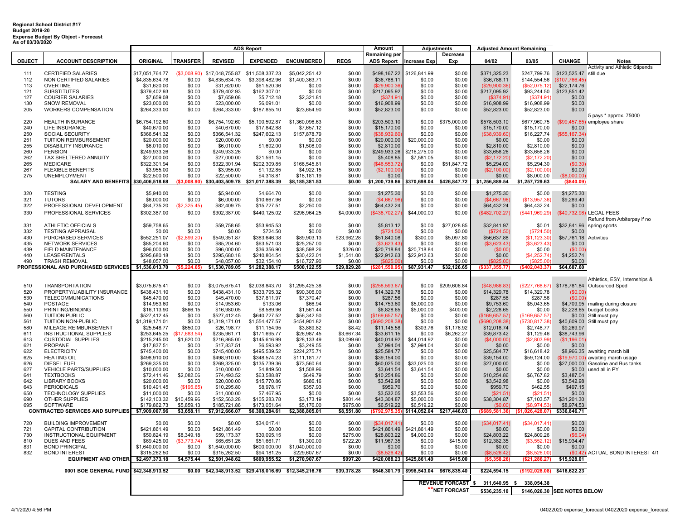### **Regional School District #17 Budget 2019-20 Expense Budget By Object - Forecast As of 03/30/2020**

|               |                                                    | <b>ADS Report</b>              |                           |                                |                                                        |                                | Amount               | <b>Adjustments</b>          |                       | <b>Adjusted Amount Remaining</b>       |                            |                               |                              |                                    |
|---------------|----------------------------------------------------|--------------------------------|---------------------------|--------------------------------|--------------------------------------------------------|--------------------------------|----------------------|-----------------------------|-----------------------|----------------------------------------|----------------------------|-------------------------------|------------------------------|------------------------------------|
|               |                                                    |                                |                           |                                |                                                        |                                |                      | Remaining per               |                       | Decrease                               |                            |                               |                              |                                    |
| <b>OBJECT</b> | <b>ACCOUNT DESCRIPTION</b>                         | <b>ORIGINAL</b>                | <b>TRANSFER</b>           | <b>REVISED</b>                 | <b>EXPENDED</b>                                        | <b>ENCUMBERED</b>              | <b>REQS</b>          | <b>ADS Report</b>           | <b>Increase Exp</b>   | Exp                                    | 04/02                      | 03/05                         | <b>CHANGE</b>                | <b>Notes</b>                       |
|               |                                                    |                                |                           |                                |                                                        |                                |                      |                             |                       |                                        |                            |                               |                              | Activity and Athletic Stipends     |
| 111           | CERTIFIED SALARIES                                 | \$17,051,764.77                | (\$3,008.90)              | \$17,048,755.87                | \$11,508,337.23                                        | \$5,042,251.42                 | \$0.00               | \$498,167.22                | \$126,841.99          | \$0.00                                 | \$371,325.23               |                               |                              |                                    |
| 112           | NON CERTIFIED SALARIES                             | \$4,835,634.78                 | \$0.00                    | \$4,835,634.78                 | \$3,398,482.96                                         | \$1,400,363.71                 | \$0.00               | \$36,788.11                 | \$0.00                | \$0.00                                 | \$36,788.11                |                               | \$144,554.56 (\$107,766.45)  |                                    |
| 113           | <b>OVERTIME</b>                                    | \$31,620.00                    | \$0.00                    | \$31,620.00                    | \$61,520.36                                            | \$0.00                         | \$0.00               | (\$29,900.36                | \$0.00                | \$0.00                                 | (\$29,900.36)              | (\$52,075.12)                 | \$22,174.76                  |                                    |
| 121<br>127    | <b>SUBSTITUTES</b>                                 | \$379,402.93                   | \$0.00<br>\$0.00          | \$379,402.93                   | \$162,307.01                                           | \$0.00<br>\$2,321.81           | \$0.00<br>\$0.00     | \$217,095.92                | \$0.00<br>\$0.00      | \$0.00<br>\$0.00                       | \$217,095.92               |                               | \$93,244.50    \$123,851.42  |                                    |
|               | <b>COURIER SALARIES</b>                            | \$7,659.08                     | \$0.00                    | \$7,659.08                     | \$5,712.18                                             |                                | \$0.00               | (\$374.91                   | \$0.00                | \$0.00                                 | (\$374.91)                 | (\$374.91)                    | \$0.00                       |                                    |
| 130<br>205    | <b>SNOW REMOVAL</b><br>WORKERS COMPENSATION        | \$23,000.00                    | \$0.00                    | \$23,000.00                    | \$6,091.01                                             | \$0.00                         | \$0.00               | \$16,908.99                 | \$0.00                | \$0.00                                 | \$16,908.99                | \$16,908.99                   | \$0.00<br>\$0.00             |                                    |
|               |                                                    | \$264,333.00                   |                           | \$264,333.00                   | \$187,855.10                                           | \$23,654.90                    |                      | \$52,823.00                 |                       |                                        | \$52,823.00                | \$52,823.00                   |                              |                                    |
| 220           | <b>HEALTH INSURANCE</b>                            | \$6,754,192.60                 | \$0.00                    | \$6,754,192.60                 | \$5,190,592.87                                         | \$1,360,096.63                 | \$0.00               | \$203,503.10                | \$0.00                | \$375,000.00                           | \$578,503.10               | \$677,960.75                  |                              | 5 pays * approx. 75000             |
|               |                                                    |                                |                           |                                |                                                        |                                |                      |                             |                       |                                        |                            |                               |                              | (\$99,457.65) employee share       |
| 240           | LIFE INSURANCE                                     | \$40,670.00                    | \$0.00                    | \$40,670.00                    | \$17,842.88                                            | \$7,657.12                     | \$0.00               | \$15,170.00                 | \$0.00                | \$0.00                                 | \$15,170.00                | \$15,170.00                   | \$0.00                       |                                    |
| 250<br>251    | SOCIAL SECURITY<br>TUITION REIMBURSEMENT           | \$366,541.32<br>\$20,000.00    | \$0.00<br>\$0.00          | \$366,541.32<br>\$20,000.00    | \$247,602.13<br>\$0.00                                 | \$157,878.79<br>\$0.00         | \$0.00<br>\$0.00     | (\$38,939.60<br>\$20,000.00 | \$0.00<br>\$20,000.00 | \$0.00<br>\$0.00                       | (\$38,939.60)<br>\$0.00    | \$16,227.74<br>\$0.00         | (\$55, 167.34)<br>\$0.00     |                                    |
| 255           | <b>DISABILITY INSURANCE</b>                        |                                | \$0.00                    | \$6,010.00                     | \$1,692.00                                             | \$1,508.00                     | \$0.00               |                             | \$0.00                | \$0.00                                 |                            | \$2,810.00                    | \$0.00                       |                                    |
| 260           | <b>PENSION</b>                                     | \$6,010.00<br>\$249,933.26     | \$0.00                    | \$249,933.26                   | \$0.00                                                 | \$0.00                         | \$0.00               | \$2,810.00<br>\$249,933.26  | \$216,275.00          | \$0.00                                 | \$2,810.00<br>\$33,658.26  | \$33,658.26                   | \$0.00                       |                                    |
| 262           | TAX SHELTERED ANNUITY                              | \$27,000.00                    | \$0.00                    | \$27,000.00                    | \$21,591.15                                            | \$0.00                         | \$0.00               | \$5,408.85                  | \$7,581.05            | \$0.00                                 | (S2, 172.20)               | (\$2,172.20                   | \$0.00                       |                                    |
| 265           | <b>MEDICARE</b>                                    | \$322,301.94                   | \$0.00                    | \$322,301.94                   | \$202,309.85                                           | \$166,545.81                   | \$0.00               | (\$46,553.72                | \$0.00                | \$51,847.72                            | \$5,294.00                 | \$5,294.30                    | (\$0.30)                     |                                    |
| 267           | <b>FLEXIBLE BENEFITS</b>                           | \$3,955.00                     | \$0.00                    | \$3,955.00                     | \$1,132.85                                             | \$4,922.15                     | \$0.00               | (\$2,100.00                 | \$0.00                | \$0.00                                 | (\$2,100.00)               | (\$2,100.00)                  | \$0.00                       |                                    |
| 275           | <b>UNEMPLOYMENT</b>                                | \$22,500.00                    | \$0.00                    | \$22,500.00                    | \$4,318.81                                             | \$18,181.19                    | \$0.00               | \$0.00                      | \$0.00                | \$0.00                                 | \$0.00                     | \$8,000.00                    | (\$8,000.00)                 |                                    |
|               | SALARY AND BENEFITS \$30,406,518.68                |                                |                           |                                | $(\$3,008.90)$ \$30,403,509.78 \$21,017,388.39         | \$8,185,381.53                 | \$0.00               | \$1,200,739.86 \$370,698.04 |                       | \$426,847.72                           | \$1,256,889.54             | \$1,257,729.63                | ( \$840.09)                  |                                    |
|               |                                                    |                                |                           |                                |                                                        |                                |                      |                             |                       |                                        |                            |                               |                              |                                    |
| 320           | <b>TESTING</b>                                     | \$5,940.00                     | \$0.00                    | \$5,940.00                     | \$4,664.70                                             | \$0.00                         | \$0.00               | \$1,275.30                  | \$0.00                | \$0.00                                 | \$1,275.30                 | \$0.00                        | \$1,275.30                   |                                    |
| 321           | <b>TUTORS</b>                                      | \$6,000.00                     | \$0.00                    | \$6,000.00                     | \$10,667.96                                            | \$0.00                         | \$0.00               | (\$4,667.96                 | \$0.00                | \$0.00                                 | ( \$4,667.96]              | (\$13,957.36)                 | \$9,289.40                   |                                    |
| 322           | PROFESSIONAL DEVELOPMENT                           | \$84,735.20                    | (\$2,325.45)              | \$82,409.75                    | \$15,727.51                                            | \$2,250.00                     | \$0.00               | \$64,432.24                 | \$0.00                | \$0.00                                 | \$64,432.24                | \$64,432.24                   | \$0.00                       |                                    |
| 330           | PROFESSIONAL SERVICES                              | \$302,387.00                   | \$0.00                    | \$302,387.00                   | \$440,125.02                                           | \$296,964.25                   | \$4,000.00           | (\$438,702.27               | \$44,000.00           | \$0.00                                 | (\$482,702.27)             | (\$441,969.29)                |                              | (\$40,732.98) LEGAL FEES           |
|               |                                                    |                                |                           |                                |                                                        |                                |                      |                             |                       |                                        |                            |                               |                              | Refund from Arbiterpay if no       |
| 331           | <b>ATHLETIC OFFICIALS</b>                          | \$59,758.65                    | \$0.00                    | \$59,758.65                    | \$53,945.53                                            | \$0.00                         | \$0.00               | \$5,813.12                  | \$0.00                | \$27,028.85                            | \$32,841.97                | \$0.01                        | \$32,841.96                  | spring sports                      |
| 332           | <b>TESTING APPRAISAL</b>                           | \$0.00                         | \$0.00                    | \$0.00                         | \$724.50                                               | \$0.00                         | \$0.00               | (\$724.50)                  | \$0.00                | \$0.00                                 | (\$724.50)                 | (\$724.50)                    | \$0.00                       |                                    |
| 430           | PURCHASED SERVICES                                 | \$552,251.07                   | (\$2,899.20)              | \$549,351.87                   | \$383,646.38                                           | \$89,903.13                    | \$23,962.28          | \$51,840.08                 | \$300.00              | \$5,097.80                             | \$56,637.88                | (\$1,123.30)                  | \$57,761.18                  | Activities                         |
| 435           | NETWORK SERVICES                                   | \$85,204.60                    | \$0.00                    | \$85,204.60                    | \$63,571.03                                            | \$25,257.00                    | \$0.00               | (\$3,623.43                 | \$0.00                | \$0.00                                 | (\$3,623.43)               | ( \$3,623.43)                 | \$0.00                       |                                    |
| 439           | FIELD MAINTENANCE                                  | \$96,000.00                    | \$0.00                    | \$96,000.00                    | \$36,356.90                                            | \$38,598.26                    | \$326.00             | \$20,718.84                 | \$20,718.84           | \$0.00                                 | (S0.00)                    | \$0.00                        | (\$0.00                      |                                    |
| 440           | LEASE/RENTALS                                      | \$295,680.18                   | \$0.00                    | \$295,680.18                   | \$240,804.54                                           | \$30,422.01                    | \$1,541.00           | \$22,912.63                 | \$22,912.63           | \$0.00                                 | \$0.00                     | (\$4,252.74)                  | \$4,252.74                   |                                    |
| 490           | <b>TRASH REMOVAL</b>                               | \$48,057.00                    | \$0.00                    | \$48,057.00                    | \$32,154.10                                            | \$16,727.90                    | \$0.00               | (88250)                     | \$0.00                | \$0.00                                 | (\$825.00                  | ( \$825.00]                   | \$0.00                       |                                    |
|               | PROFESSIONAL AND PURCHASED SERVICES                | \$1,536,013.70                 | (S5.224.65)               | \$1,530,789.05                 | \$1,282,388.17                                         | \$500,122.55                   | \$29,829.28          | \$281,550.95                | \$87,931.47           | \$32,126.65                            | (\$337,355.77)             | (\$402,043.37)                | \$64,687.60                  |                                    |
|               |                                                    |                                |                           |                                |                                                        |                                |                      |                             |                       |                                        |                            |                               |                              |                                    |
|               |                                                    |                                |                           |                                |                                                        |                                |                      |                             |                       |                                        |                            |                               |                              | Athletics, ESY, Internships &      |
| 510           | <b>TRANSPORTATION</b>                              | \$3,075,675.41                 | \$0.00                    | \$3,075,675.41                 | \$2,038,843.70                                         | \$1,295,425.38                 | \$0.00               | (\$258,593.67               | \$0.00                | \$209,606.84                           | ( \$48, 986.83)            | (\$227,768.67)                |                              | \$178,781.84 Outsourced Sped       |
| 520           | PROPERTY/LIABILITY INSURANCE                       | \$438,431.10                   | \$0.00                    | \$438,431.10                   | \$333,795.32                                           | \$90,306.00                    | \$0.00               | \$14,329.78                 | \$0.00                | \$0.00                                 | \$14,329.78                | \$14,329.78                   | (\$0.00)                     |                                    |
| 530           | <b>TELECOMMUNICATIONS</b>                          | \$45,470.00                    | \$0.00                    | \$45,470.00                    | \$37,811.97                                            | \$7,370.47                     | \$0.00               | \$287.56                    | \$0.00                | \$0.00                                 | \$287.56                   | \$287.56                      | (\$0.00)                     |                                    |
| 540           | POSTAGE                                            | \$14,953.60                    | \$0.00                    | \$14,953.60                    | \$133.06                                               | \$66.94                        | \$0.00               | \$14,753.60                 | \$5,000.00            | \$0.00                                 | \$9,753.60                 | \$5,043.65                    |                              | \$4,709.95 mailing during closure  |
| 550           | PRINTING/BINDING                                   | \$16,113.90                    | \$866.15                  | \$16,980.05                    | \$8,589.96                                             | \$1,561.44                     | \$0.00               | \$6,828.65                  | \$5,000.00            | \$400.00                               | \$2,228.65                 | \$0.00                        |                              | \$2,228.65 budget books            |
| 560           | <b>TUITION PUBLIC</b><br>TUITION NON-PUBLIC        | \$527,412.45                   | \$0.00                    | \$527,412.45                   | \$640,727.52                                           | \$56,342.50                    | \$0.00               | (\$169,657.57               | \$0.00                | \$0.00                                 | (\$169, 657.57)            | (\$169,657.57)                |                              | \$0.00 Still must pay              |
| 561<br>580    | MILEAGE REIMBURSEMENT                              | \$1,319,171.01                 | \$0.00                    | \$1,319,171.01                 | \$1,554,477.57<br>\$11,154.95                          | \$454,901.82<br>\$3,889.82     | \$0.00               | (\$690,208.38               | \$0.00                | \$0.00                                 | \$690,208.38               | (\$730, 817.38)<br>\$2,748.77 | \$40,609.00<br>\$9,269.97    | Still must pay                     |
| 611           | INSTRUCTIONAL SUPPLIES                             | \$25,548.77<br>\$253,645.25    | \$650.00<br>(\$17,683.54) | \$26,198.77<br>\$235,961.71    | \$171,695.77                                           | \$26,987.45                    | \$8.42<br>\$3,667.34 | \$11,145.58<br>\$33,611.15  | \$303.76<br>\$0.00    | \$1,176.92<br>\$6,262.27               | \$12,018.74<br>\$39,873.42 | \$1,129.46                    | \$38,743.96                  |                                    |
| 613           | <b>CUSTODIAL SUPPLIES</b>                          | \$215,245.00                   | \$1,620.00                | \$216,865.00                   | \$145,616.99                                           | \$28,133.49                    | \$3,099.60           | \$40,014.92                 | \$44,014.92           | \$0.00                                 | (\$4,000.00                | (\$2,803.99)                  | (\$1,196.01                  |                                    |
| 621           | PROPANE                                            | \$17,837.51                    | \$0.00                    | \$17,837.51                    | \$6,593.92                                             | \$3,249.55                     | \$0.00               | \$7,994.04                  | \$7,994.04            | \$0.00                                 | \$0.00                     | \$0.00                        | \$0.00                       |                                    |
| 622           | <b>ELECTRICITY</b>                                 | \$745,400.00                   | \$0.00                    | \$745,400.00                   | \$495,539.52                                           | \$224,275.71                   | \$0.00               | \$25,584.77                 | \$0.00                | \$0.00                                 | \$25,584.77                | \$16,618.42                   |                              | \$8,966.35 awaiting march bill     |
| 625           | <b>HEATING OIL</b>                                 | \$498,910.00                   | \$0.00                    | \$498,910.00                   | \$348,574.23                                           | \$111,181.77                   | \$0.00               | \$39,154.00                 | \$0.00                | \$0.00                                 | \$39,154.00                | \$59,124.00                   |                              | \$19,970.00) awaiting march usage  |
| 626           | <b>DIESEL FUEL</b>                                 | \$269,325.00                   | \$0.00                    | \$269,325.00                   | \$135,739.36                                           | \$73,560.64                    | \$0.00               | \$60,025.00                 | \$33,025.00           | \$0.00                                 | \$27,000.00                | \$0.00                        |                              | \$27,000.00 Gasoline and Bus tanks |
| 627           | <b>VEHICLE PARTS/SUPPLIES</b>                      | \$10,000.00                    | \$0.00                    | \$10,000.00                    | \$4,849.50                                             | \$1,508.96                     | \$0.00               | \$3,641.54                  | \$3,641.54            | \$0.00                                 | \$0.00                     | \$0.00                        |                              | \$0.00 used all in PY              |
| 641           | <b>TEXTBOOKS</b>                                   | \$72,411.46                    | \$2,082.06                | \$74,493.52                    | \$63,588.87                                            | \$649.79                       | \$0.00               | \$10,254.86                 | \$0.00                | \$0.00                                 | \$10,254.86                | \$6,767.82                    | \$3,487.04                   |                                    |
| 642           | <b>LIBRARY BOOKS</b>                               | \$20,000.00                    | \$0.00                    | \$20,000.00                    | \$15,770.86                                            | \$686.16                       | \$0.00               | \$3,542.98                  | \$0.00                | \$0.00                                 | \$3,542.98                 | \$0.00                        | \$3,542.98                   |                                    |
| 643           | <b>PERIODICALS</b>                                 | \$10,491.45                    | (\$195.65)                | \$10,295.80                    | \$8,978.17                                             | \$357.93                       | \$0.00               | \$959.70                    | \$0.00                | \$0.00                                 | \$959.70                   | \$462.55                      | \$497.15                     |                                    |
| 650           | TECHNOLOGY SUPPLIES                                | \$11,000.00                    | \$0.00                    | \$11,000.00                    | \$7,467.95                                             | \$0.00                         | \$0.00               | \$3,532.05                  | \$3,553.56            | \$0.00                                 | (\$21.51                   | (\$21.51)                     | \$0.00                       |                                    |
| 690           | OTHER SUPPLIES                                     | \$142,103.32                   | \$10,459.96               | \$152,563.28                   | \$105,283.78                                           | \$3,173.19                     | \$801.44             | \$43,304.87                 | \$5,000.00            | \$0.00                                 | \$38,304.87                | \$7,103.57                    | \$31,201.30                  |                                    |
| 695           | SOFTWARE                                           | \$179,862.73                   | \$5,859.13                | \$185,721.86                   | \$173,051.64                                           | \$5,176.00                     | \$975.00             | \$6,519.22                  | \$6,519.22            | \$0.00                                 | (S0.00)                    | (\$8.974.53)                  | \$8,974.53                   |                                    |
|               | <b>CONTRACTED SERVICES AND SUPPLIES</b>            | \$7,909,007.96                 | \$3,658.11                | \$7,912,666.07                 | \$6,308,284.61                                         | \$2,388,805.01                 | \$8,551.80           | (\$792,975.35               | \$114,052.04          | \$217,446.03                           | $($ \$689,581.36)          | $(1,026,428.07)$ \$336,846.71 |                              |                                    |
|               |                                                    |                                |                           |                                |                                                        |                                |                      |                             |                       |                                        |                            |                               |                              |                                    |
| 720           | <b>BUILDING IMPROVEMENT</b>                        | \$0.00                         | \$0.00                    | \$0.00                         | \$34,017.41                                            | \$0.00                         | \$0.00               | (\$34,017.41                | \$0.00                | \$0.00                                 | (\$34,017.41)              | (\$34,017.41)                 | \$0.00                       |                                    |
| 721           | CAPITAL CONTRIBUTION                               | \$421,861.49                   | \$0.00                    | \$421,861.49                   | \$0.00                                                 | \$0.00                         | \$0.00               | \$421,861.49                | \$421,861.49          | \$0.00                                 | \$0.00                     | \$0.00                        | \$0.00                       |                                    |
| 730           | INSTRUCTIONAL EQUIPMENT                            | \$50,824.19                    | \$8,349.18                | \$59,173.37                    | \$30,095.15                                            | \$0.00                         | \$275.00             | \$28,803.22                 | \$4,000.00            | \$0.00                                 | \$24,803.22                | \$24,809.26                   | (\$6.04)                     |                                    |
| 810           | DUES AND FEES                                      | \$69,425.00                    | (\$3,773.74)              | \$65,651.26                    | \$51,661.71                                            | \$1,300.00                     | \$722.20             | \$11,967.35                 | \$0.00                | \$415.00                               | \$12,382.35                | (\$3,552.12)                  | \$15,934.47                  |                                    |
| 831           | <b>BOND PRINCIPAL</b>                              | \$1,640,000.00                 | \$0.00                    | \$1,640,000.00                 | \$600,000.00                                           | \$1,040,000.00                 | \$0.00               | \$0.00<br>526 4             | \$0.00<br>\$0.00      | \$0.00                                 | \$0.00<br>(SR 526.42)      | \$0.00<br>(88.526.00)         | \$0.00<br>(S0.42)            |                                    |
| 832           | <b>BOND INTEREST</b><br><b>EQUIPMENT AND OTHER</b> | \$315,262.50<br>\$2,497,373.18 | \$0.00<br>\$4,575.44      | \$315,262.50<br>\$2,501,948.62 | \$94,181.25<br>\$809,955.52                            | \$229,607.67<br>\$1,270,907.67 | \$0.00<br>\$997.20   | \$420,088.23                | \$425,861.49          | \$0.00<br>\$415.00                     | ( \$5.358.26)              | (S21.286.27)                  | \$15,928.01                  | ACTUAL BOND INTEREST 4/1           |
|               |                                                    |                                |                           |                                |                                                        |                                |                      |                             |                       |                                        |                            |                               |                              |                                    |
|               | 0001 BOE GENERAL FUND \$42.348.913.52              |                                |                           |                                | \$0.00 \$42.348.913.52 \$29.418.016.69 \$12.345.216.76 |                                | \$39.378.28          |                             |                       | \$546.301.79 \$998.543.04 \$676.835.40 | \$224.594.15               | (S192.028.08)                 | \$416,622.23                 |                                    |
|               |                                                    |                                |                           |                                |                                                        |                                |                      |                             |                       |                                        |                            |                               |                              |                                    |
|               |                                                    |                                |                           |                                |                                                        |                                |                      |                             |                       | <b>REVENUE FORCAST</b>                 | 311,640.95                 | 338,054.38<br>- \$            |                              |                                    |
|               |                                                    |                                |                           |                                |                                                        |                                |                      |                             |                       | <b>*NET FORCAST</b>                    | \$536,235.10               |                               | \$146,026.30 SEE NOTES BELOW |                                    |
|               |                                                    |                                |                           |                                |                                                        |                                |                      |                             |                       |                                        |                            |                               |                              |                                    |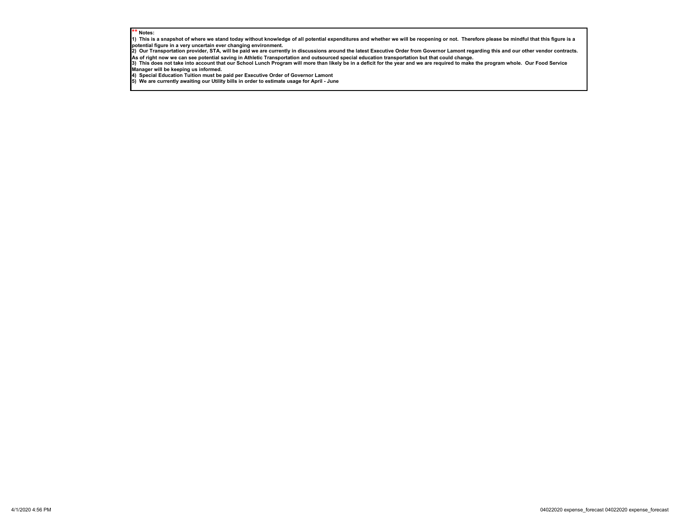#### $'$  Notes:

**1) This is a snapshot of where we stand today without knowledge of all potential expenditures and whether we will be reopening or not. Therefore please be mindful that this figure is a** 

potential figure in a very uncertain ever changing environment.<br>2) Our Transportation provider, STA, will be paid we are currently in discussions around the latest Executive Order from Governor Lamont regarding this and o **As of right now we can see potential saving in Athletic Transportation and outsourced special education transportation but that could change.**

3) This does not take into account that our School Lunch Program will more than likely be in a deficit for the year and we are required to make the program whole. Our Food Service<br>Manager will be keeping us informed.

**4) Special Education Tuition must be paid per Executive Order of Governor Lamont 5) We are currently awaiting our Utility bills in order to estimate usage for April - June**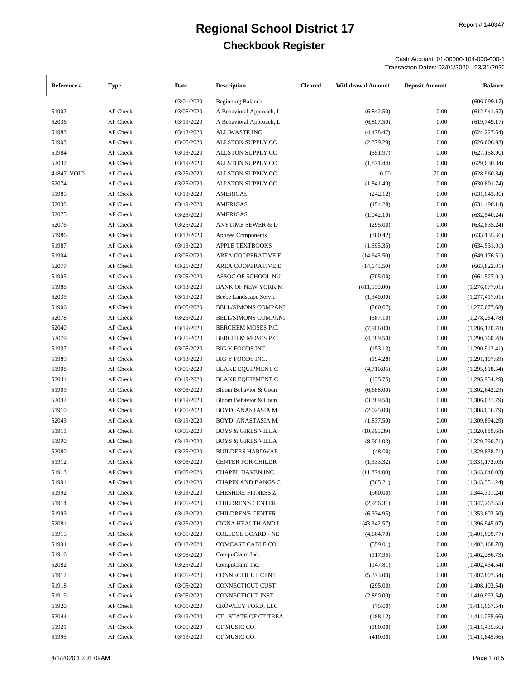Cash Account: 01-00000-104-000-000-1 Transaction Dates: 03/01/2020 - 03/31/2020

| Reference # | <b>Type</b> | Date       | <b>Description</b>            | <b>Cleared</b> | <b>Withdrawal Amount</b> | <b>Deposit Amount</b> | <b>Balance</b> |
|-------------|-------------|------------|-------------------------------|----------------|--------------------------|-----------------------|----------------|
|             |             | 03/01/2020 | <b>Beginning Balance</b>      |                |                          |                       | (606,099.17)   |
| 51902       | AP Check    | 03/05/2020 | A Behavioral Approach, L      |                | (6,842.50)               | 0.00                  | (612, 941.67)  |
| 52036       | AP Check    | 03/19/2020 | A Behavioral Approach, L      |                | (6,807.50)               | 0.00                  | (619, 749.17)  |
| 51983       | AP Check    | 03/13/2020 | ALL WASTE INC                 |                | (4,478.47)               | 0.00                  | (624, 227.64)  |
| 51903       | AP Check    | 03/05/2020 | ALLSTON SUPPLY CO             |                | (2,379.29)               | 0.00                  | (626, 606.93)  |
| 51984       | AP Check    | 03/13/2020 | ALLSTON SUPPLY CO             |                | (551.97)                 | 0.00                  | (627, 158.90)  |
| 52037       | AP Check    | 03/19/2020 | ALLSTON SUPPLY CO             |                | (1,871.44)               | 0.00                  | (629, 030.34)  |
| 41847 VOID  | AP Check    | 03/25/2020 | ALLSTON SUPPLY CO             |                | 0.00                     | 70.00                 | (628,960.34)   |
| 52074       | AP Check    | 03/25/2020 | ALLSTON SUPPLY CO             |                | (1,841.40)               | 0.00                  | (630, 801.74)  |
| 51985       | AP Check    | 03/13/2020 | <b>AMERIGAS</b>               |                | (242.12)                 | 0.00                  | (631,043.86)   |
| 52038       | AP Check    | 03/19/2020 | <b>AMERIGAS</b>               |                | (454.28)                 | 0.00                  | (631, 498.14)  |
| 52075       | AP Check    | 03/25/2020 | <b>AMERIGAS</b>               |                | (1,042.10)               | 0.00                  | (632, 540.24)  |
| 52076       | AP Check    | 03/25/2020 | <b>ANYTIME SEWER &amp; D</b>  |                | (295.00)                 | 0.00                  | (632, 835.24)  |
| 51986       | AP Check    | 03/13/2020 | Apogee Components             |                | (300.42)                 | 0.00                  | (633, 135.66)  |
| 51987       | AP Check    | 03/13/2020 | <b>APPLE TEXTBOOKS</b>        |                | (1,395.35)               | 0.00                  | (634, 531.01)  |
| 51904       | AP Check    | 03/05/2020 | AREA COOPERATIVE E            |                | (14, 645.50)             | 0.00                  | (649, 176.51)  |
| 52077       | AP Check    | 03/25/2020 | AREA COOPERATIVE E            |                | (14, 645.50)             | 0.00                  | (663,822.01)   |
| 51905       | AP Check    | 03/05/2020 | ASSOC OF SCHOOL NU            |                | (705.00)                 | 0.00                  | (664, 527.01)  |
| 51988       | AP Check    | 03/13/2020 | <b>BANK OF NEW YORK M</b>     |                | (611, 550.00)            | 0.00                  | (1,276,077.01) |
| 52039       | AP Check    | 03/19/2020 | Beebe Landscape Servic        |                | (1,340.00)               | 0.00                  | (1,277,417.01) |
| 51906       | AP Check    | 03/05/2020 | <b>BELL/SIMONS COMPANI</b>    |                | (260.67)                 | 0.00                  | (1,277,677.68) |
| 52078       | AP Check    | 03/25/2020 | <b>BELL/SIMONS COMPANI</b>    |                | (587.10)                 | 0.00                  | (1,278,264.78) |
| 52040       | AP Check    | 03/19/2020 | BERCHEM MOSES P.C.            |                | (7,906.00)               | 0.00                  | (1,286,170.78) |
| 52079       | AP Check    | 03/25/2020 | BERCHEM MOSES P.C.            |                | (4,589.50)               | 0.00                  | (1,290,760.28) |
| 51907       | AP Check    | 03/05/2020 | BIG Y FOODS INC.              |                |                          |                       |                |
|             |             |            |                               |                | (153.13)                 | 0.00                  | (1,290,913.41) |
| 51989       | AP Check    | 03/13/2020 | BIG Y FOODS INC.              |                | (194.28)                 | 0.00                  | (1,291,107.69) |
| 51908       | AP Check    | 03/05/2020 | <b>BLAKE EQUIPMENT C</b>      |                | (4,710.85)               | 0.00                  | (1,295,818.54) |
| 52041       | AP Check    | 03/19/2020 | <b>BLAKE EQUIPMENT C</b>      |                | (135.75)                 | 0.00                  | (1,295,954.29) |
| 51909       | AP Check    | 03/05/2020 | Bloom Behavior & Coun         |                | (6,688.00)               | 0.00                  | (1,302,642.29) |
| 52042       | AP Check    | 03/19/2020 | Bloom Behavior & Coun         |                | (3,389.50)               | 0.00                  | (1,306,031.79) |
| 51910       | AP Check    | 03/05/2020 | BOYD, ANASTASIA M.            |                | (2,025.00)               | 0.00                  | (1,308,056.79) |
| 52043       | AP Check    | 03/19/2020 | BOYD, ANASTASIA M.            |                | (1,837.50)               | 0.00                  | (1,309,894.29) |
| 51911       | AP Check    | 03/05/2020 | <b>BOYS &amp; GIRLS VILLA</b> |                | (10,995.39)              | 0.00                  | (1,320,889.68) |
| 51990       | AP Check    | 03/13/2020 | <b>BOYS &amp; GIRLS VILLA</b> |                | (8,901.03)               | 0.00                  | (1,329,790.71) |
| 52080       | AP Check    | 03/25/2020 | <b>BUILDERS HARDWAR</b>       |                | (48.00)                  | 0.00                  | (1,329,838.71) |
| 51912       | AP Check    | 03/05/2020 | CENTER FOR CHILDR             |                | (1,333.32)               | 0.00                  | (1,331,172.03) |
| 51913       | AP Check    | 03/05/2020 | CHAPEL HAVEN INC.             |                | (11,874.00)              | 0.00                  | (1,343,046.03) |
| 51991       | AP Check    | 03/13/2020 | CHAPIN AND BANGS C            |                | (305.21)                 | 0.00                  | (1,343,351.24) |
| 51992       | AP Check    | 03/13/2020 | <b>CHESHIRE FITNESS Z</b>     |                | (960.00)                 | 0.00                  | (1,344,311.24) |
| 51914       | AP Check    | 03/05/2020 | <b>CHILDREN'S CENTER</b>      |                | (2,956.31)               | 0.00                  | (1,347,267.55) |
| 51993       | AP Check    | 03/13/2020 | <b>CHILDREN'S CENTER</b>      |                | (6,334.95)               | 0.00                  | (1,353,602.50) |
| 52081       | AP Check    | 03/25/2020 | CIGNA HEALTH AND L            |                | (43,342.57)              | 0.00                  | (1,396,945.07) |
| 51915       | AP Check    | 03/05/2020 | <b>COLLEGE BOARD - NE</b>     |                | (4,664.70)               | 0.00                  | (1,401,609.77) |
| 51994       | AP Check    | 03/13/2020 | COMCAST CABLE CO              |                | (559.01)                 | 0.00                  | (1,402,168.78) |
| 51916       | AP Check    | 03/05/2020 | CompuClaim Inc.               |                | (117.95)                 | 0.00                  | (1,402,286.73) |
| 52082       | AP Check    | 03/25/2020 | CompuClaim Inc.               |                | (147.81)                 | 0.00                  | (1,402,434.54) |
| 51917       | AP Check    | 03/05/2020 | CONNECTICUT CENT              |                | (5,373.00)               | 0.00                  | (1,407,807.54) |
| 51918       | AP Check    | 03/05/2020 | CONNECTICUT CUST              |                | (295.00)                 | 0.00                  | (1,408,102.54) |
| 51919       | AP Check    | 03/05/2020 | CONNECTICUT INST              |                | (2,890.00)               | 0.00                  | (1,410,992.54) |
| 51920       | AP Check    | 03/05/2020 | CROWLEY FORD, LLC             |                | (75.00)                  | 0.00                  | (1,411,067.54) |
| 52044       | AP Check    | 03/19/2020 | CT - STATE OF CT TREA         |                | (188.12)                 | 0.00                  | (1,411,255.66) |
| 51921       | AP Check    | 03/05/2020 | CT MUSIC CO.                  |                | (180.00)                 | 0.00                  | (1,411,435.66) |
| 51995       | AP Check    | 03/13/2020 | CT MUSIC CO.                  |                | (410.00)                 | 0.00                  | (1,411,845.66) |
|             |             |            |                               |                |                          |                       |                |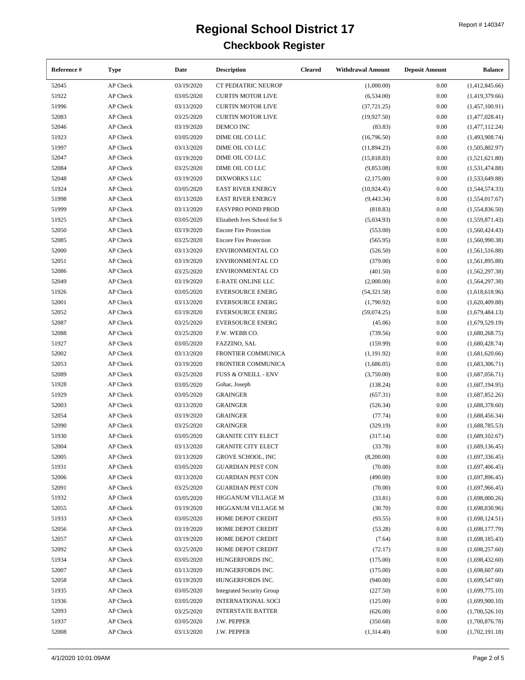| Reference # | <b>Type</b>      | Date       | <b>Description</b>                       | <b>Cleared</b> | <b>Withdrawal Amount</b> | <b>Deposit Amount</b> | <b>Balance</b>   |
|-------------|------------------|------------|------------------------------------------|----------------|--------------------------|-----------------------|------------------|
| 52045       | AP Check         | 03/19/2020 | CT PEDIATRIC NEUROP                      |                | (1,000.00)               | 0.00                  | (1,412,845.66)   |
| 51922       | AP Check         | 03/05/2020 | <b>CURTIN MOTOR LIVE</b>                 |                | (6,534.00)               | 0.00                  | (1,419,379.66)   |
| 51996       | AP Check         | 03/13/2020 | <b>CURTIN MOTOR LIVE</b>                 |                | (37, 721.25)             | 0.00                  | (1,457,100.91)   |
| 52083       | AP Check         | 03/25/2020 | <b>CURTIN MOTOR LIVE</b>                 |                | (19, 927.50)             | 0.00                  | (1,477,028.41)   |
| 52046       | AP Check         | 03/19/2020 | DEMCO INC                                |                | (83.83)                  | 0.00                  | (1,477,112.24)   |
| 51923       | AP Check         | 03/05/2020 | DIME OIL CO LLC                          |                | (16,796.50)              | 0.00                  | (1,493,908.74)   |
| 51997       | AP Check         | 03/13/2020 | DIME OIL CO LLC                          |                | (11,894.23)              | 0.00                  | (1,505,802.97)   |
| 52047       | AP Check         | 03/19/2020 | DIME OIL CO LLC                          |                | (15,818.83)              | 0.00                  | (1,521,621.80)   |
| 52084       | AP Check         | 03/25/2020 | DIME OIL CO LLC                          |                | (9,853.08)               | 0.00                  | (1,531,474.88)   |
| 52048       | AP Check         | 03/19/2020 | <b>DIXWORKS LLC</b>                      |                | (2,175.00)               | 0.00                  | (1,533,649.88)   |
| 51924       | AP Check         | 03/05/2020 | <b>EAST RIVER ENERGY</b>                 |                | (10, 924.45)             | 0.00                  | (1,544,574.33)   |
| 51998       | AP Check         | 03/13/2020 | <b>EAST RIVER ENERGY</b>                 |                | (9,443.34)               | 0.00                  | (1,554,017.67)   |
| 51999       | AP Check         | 03/13/2020 | <b>EASYPRO POND PROD</b>                 |                | (818.83)                 | 0.00                  | (1,554,836.50)   |
| 51925       | AP Check         | 03/05/2020 | Elizabeth Ives School for S              |                | (5,034.93)               | 0.00                  | (1,559,871.43)   |
| 52050       | AP Check         | 03/19/2020 | <b>Encore Fire Protection</b>            |                | (553.00)                 | 0.00                  | (1,560,424.43)   |
| 52085       | AP Check         | 03/25/2020 | <b>Encore Fire Protection</b>            |                | (565.95)                 | 0.00                  | (1,560,990.38)   |
| 52000       | AP Check         | 03/13/2020 | <b>ENVIRONMENTAL CO</b>                  |                | (526.50)                 | 0.00                  | (1,561,516.88)   |
| 52051       | AP Check         | 03/19/2020 | <b>ENVIRONMENTAL CO</b>                  |                | (379.00)                 | 0.00                  | (1,561,895.88)   |
| 52086       | AP Check         | 03/25/2020 | <b>ENVIRONMENTAL CO</b>                  |                | (401.50)                 | 0.00                  | (1,562,297.38)   |
| 52049       | AP Check         | 03/19/2020 | <b>E-RATE ONLINE LLC</b>                 |                | (2,000.00)               | 0.00                  | (1, 564, 297.38) |
| 51926       | AP Check         | 03/05/2020 | <b>EVERSOURCE ENERG</b>                  |                | (54, 321.58)             | 0.00                  | (1,618,618.96)   |
| 52001       | AP Check         | 03/13/2020 | <b>EVERSOURCE ENERG</b>                  |                | (1,790.92)               | 0.00                  | (1,620,409.88)   |
| 52052       | AP Check         | 03/19/2020 | <b>EVERSOURCE ENERG</b>                  |                | (59,074.25)              | 0.00                  | (1,679,484.13)   |
| 52087       | AP Check         | 03/25/2020 | <b>EVERSOURCE ENERG</b>                  |                | (45.06)                  | 0.00                  | (1,679,529.19)   |
| 52088       | AP Check         | 03/25/2020 | F.W. WEBB CO.                            |                | (739.56)                 | 0.00                  | (1,680,268.75)   |
| 51927       | AP Check         | 03/05/2020 | FAZZINO, SAL                             |                | (159.99)                 | 0.00                  | (1,680,428.74)   |
|             |                  |            |                                          |                |                          |                       |                  |
| 52002       | AP Check         | 03/13/2020 | FRONTIER COMMUNICA<br>FRONTIER COMMUNICA |                | (1, 191.92)              | 0.00                  | (1,681,620.66)   |
| 52053       | AP Check         | 03/19/2020 |                                          |                | (1,686.05)               | 0.00                  | (1,683,306.71)   |
| 52089       | AP Check         | 03/25/2020 | <b>FUSS &amp; O'NEILL - ENV</b>          |                | (3,750.00)               | 0.00                  | (1,687,056.71)   |
| 51928       | AP Check         | 03/05/2020 | Gohar, Joseph                            |                | (138.24)                 | 0.00                  | (1,687,194.95)   |
| 51929       | AP Check         | 03/05/2020 | <b>GRAINGER</b>                          |                | (657.31)                 | 0.00                  | (1,687,852.26)   |
| 52003       | AP Check         | 03/13/2020 | <b>GRAINGER</b>                          |                | (526.34)                 | 0.00                  | (1,688,378.60)   |
| 52054       | AP Check         | 03/19/2020 | GRAINGER                                 |                | (77.74)                  | 0.00                  | (1,688,456.34)   |
| 52090       | AP Check         | 03/25/2020 | <b>GRAINGER</b>                          |                | (329.19)                 | 0.00                  | (1,688,785.53)   |
| 51930       | AP Check         | 03/05/2020 | <b>GRANITE CITY ELECT</b>                |                | (317.14)                 | 0.00                  | (1,689,102.67)   |
| 52004       | AP Check         | 03/13/2020 | <b>GRANITE CITY ELECT</b>                |                | (33.78)                  | $0.00\,$              | (1,689,136.45)   |
| 52005       | AP Check         | 03/13/2020 | <b>GROVE SCHOOL, INC</b>                 |                | (8,200.00)               | 0.00                  | (1,697,336.45)   |
| 51931       | AP Check         | 03/05/2020 | <b>GUARDIAN PEST CON</b>                 |                | (70.00)                  | 0.00                  | (1,697,406.45)   |
| 52006       | AP Check         | 03/13/2020 | <b>GUARDIAN PEST CON</b>                 |                | (490.00)                 | 0.00                  | (1,697,896.45)   |
| 52091       | AP Check         | 03/25/2020 | <b>GUARDIAN PEST CON</b>                 |                | (70.00)                  | 0.00                  | (1,697,966.45)   |
| 51932       | AP Check         | 03/05/2020 | HIGGANUM VILLAGE M                       |                | (33.81)                  | 0.00                  | (1,698,000.26)   |
| 52055       | ${\sf AP}$ Check | 03/19/2020 | HIGGANUM VILLAGE M                       |                | (30.70)                  | 0.00                  | (1,698,030.96)   |
| 51933       | AP Check         | 03/05/2020 | HOME DEPOT CREDIT                        |                | (93.55)                  | 0.00                  | (1,698,124.51)   |
| 52056       | AP Check         | 03/19/2020 | HOME DEPOT CREDIT                        |                | (53.28)                  | 0.00                  | (1,698,177.79)   |
| 52057       | AP Check         | 03/19/2020 | HOME DEPOT CREDIT                        |                | (7.64)                   | 0.00                  | (1,698,185.43)   |
| 52092       | AP Check         | 03/25/2020 | HOME DEPOT CREDIT                        |                | (72.17)                  | 0.00                  | (1,698,257.60)   |
| 51934       | AP Check         | 03/05/2020 | HUNGERFORDS INC.                         |                | (175.00)                 | 0.00                  | (1,698,432.60)   |
| 52007       | AP Check         | 03/13/2020 | HUNGERFORDS INC.                         |                | (175.00)                 | 0.00                  | (1,698,607.60)   |
| 52058       | AP Check         | 03/19/2020 | HUNGERFORDS INC.                         |                | (940.00)                 | 0.00                  | (1,699,547.60)   |
| 51935       | AP Check         | 03/05/2020 | <b>Integrated Security Group</b>         |                | (227.50)                 | 0.00                  | (1,699,775.10)   |
| 51936       | AP Check         | 03/05/2020 | <b>INTERNATIONAL SOCI</b>                |                | (125.00)                 | 0.00                  | (1,699,900.10)   |
| 52093       | AP Check         | 03/25/2020 | <b>INTERSTATE BATTER</b>                 |                | (626.00)                 | 0.00                  | (1,700,526.10)   |
| 51937       | AP Check         | 03/05/2020 | J.W. PEPPER                              |                | (350.68)                 | 0.00                  | (1,700,876.78)   |
| 52008       | AP Check         | 03/13/2020 | J.W. PEPPER                              |                | (1,314.40)               | 0.00                  | (1,702,191.18)   |
|             |                  |            |                                          |                |                          |                       |                  |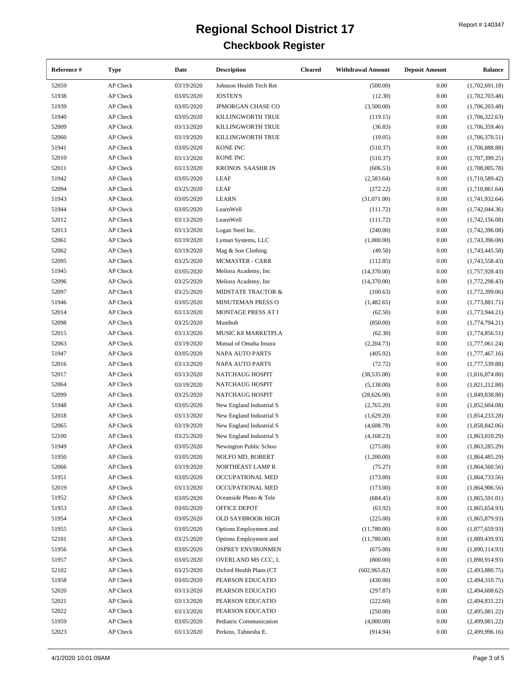| Reference # | Type     | Date       | <b>Description</b>       | <b>Cleared</b> | <b>Withdrawal Amount</b> | <b>Deposit Amount</b> | <b>Balance</b> |
|-------------|----------|------------|--------------------------|----------------|--------------------------|-----------------------|----------------|
| 52059       | AP Check | 03/19/2020 | Johnson Health Tech Ret  |                | (500.00)                 | 0.00                  | (1,702,691.18) |
| 51938       | AP Check | 03/05/2020 | <b>JOSTEN'S</b>          |                | (12.30)                  | 0.00                  | (1,702,703.48) |
| 51939       | AP Check | 03/05/2020 | <b>JPMORGAN CHASE CO</b> |                | (3,500.00)               | 0.00                  | (1,706,203.48) |
| 51940       | AP Check | 03/05/2020 | KILLINGWORTH TRUE        |                | (119.15)                 | 0.00                  | (1,706,322.63) |
| 52009       | AP Check | 03/13/2020 | KILLINGWORTH TRUE        |                | (36.83)                  | 0.00                  | (1,706,359.46) |
| 52060       | AP Check | 03/19/2020 | KILLINGWORTH TRUE        |                | (19.05)                  | 0.00                  | (1,706,378.51) |
| 51941       | AP Check | 03/05/2020 | <b>KONE INC</b>          |                | (510.37)                 | 0.00                  | (1,706,888.88) |
| 52010       | AP Check | 03/13/2020 | <b>KONE INC</b>          |                | (510.37)                 | 0.00                  | (1,707,399.25) |
| 52011       | AP Check | 03/13/2020 | KRONOS SAASHR IN         |                | (606.53)                 | 0.00                  | (1,708,005.78) |
| 51942       | AP Check | 03/05/2020 | <b>LEAF</b>              |                | (2, 583.64)              | 0.00                  | (1,710,589.42) |
| 52094       | AP Check | 03/25/2020 | <b>LEAF</b>              |                | (272.22)                 | 0.00                  | (1,710,861.64) |
| 51943       | AP Check | 03/05/2020 | <b>LEARN</b>             |                | (31,071.00)              | 0.00                  | (1,741,932.64) |
| 51944       | AP Check | 03/05/2020 | LearnWell                |                | (111.72)                 | 0.00                  | (1,742,044.36) |
| 52012       | AP Check | 03/13/2020 | LearnWell                |                | (111.72)                 | 0.00                  | (1,742,156.08) |
| 52013       | AP Check | 03/13/2020 | Logan Steel Inc.         |                | (240.00)                 | 0.00                  | (1,742,396.08) |
| 52061       | AP Check | 03/19/2020 | Lyman Systems, LLC       |                | (1,000.00)               | 0.00                  | (1,743,396.08) |
| 52062       | AP Check | 03/19/2020 | Mag & Son Clothing       |                | (49.50)                  | 0.00                  | (1,743,445.58) |
| 52095       | AP Check | 03/25/2020 | <b>MCMASTER - CARR</b>   |                | (112.85)                 | 0.00                  | (1,743,558.43) |
| 51945       | AP Check | 03/05/2020 | Meliora Academy, Inc.    |                | (14,370.00)              | 0.00                  | (1,757,928.43) |
| 52096       | AP Check | 03/25/2020 | Meliora Academy, Inc     |                | (14,370.00)              | 0.00                  | (1,772,298.43) |
| 52097       | AP Check | 03/25/2020 | MIDSTATE TRACTOR &       |                | (100.63)                 | 0.00                  | (1,772,399.06) |
|             |          |            |                          |                |                          |                       |                |
| 51946       | AP Check | 03/05/2020 | MINUTEMAN PRESS O        |                | (1,482.65)               | 0.00                  | (1,773,881.71) |
| 52014       | AP Check | 03/13/2020 | MONTAGE PRESS AT I       |                | (62.50)                  | 0.00                  | (1,773,944.21) |
| 52098       | AP Check | 03/25/2020 | Munihub                  |                | (850.00)                 | 0.00                  | (1,774,794.21) |
| 52015       | AP Check | 03/13/2020 | MUSIC K8 MARKETPLA       |                | (62.30)                  | 0.00                  | (1,774,856.51) |
| 52063       | AP Check | 03/19/2020 | Mutual of Omaha Insura   |                | (2,204.73)               | 0.00                  | (1,777,061.24) |
| 51947       | AP Check | 03/05/2020 | NAPA AUTO PARTS          |                | (405.92)                 | 0.00                  | (1,777,467.16) |
| 52016       | AP Check | 03/13/2020 | <b>NAPA AUTO PARTS</b>   |                | (72.72)                  | 0.00                  | (1,777,539.88) |
| 52017       | AP Check | 03/13/2020 | NATCHAUG HOSPIT          |                | (38, 535.00)             | 0.00                  | (1,816,074.88) |
| 52064       | AP Check | 03/19/2020 | NATCHAUG HOSPIT          |                | (5,138.00)               | 0.00                  | (1,821,212.88) |
| 52099       | AP Check | 03/25/2020 | NATCHAUG HOSPIT          |                | (28, 626.00)             | 0.00                  | (1,849,838.88) |
| 51948       | AP Check | 03/05/2020 | New England Industrial S |                | (2,765.20)               | 0.00                  | (1,852,604.08) |
| 52018       | AP Check | 03/13/2020 | New England Industrial S |                | (1,629.20)               | 0.00                  | (1,854,233.28) |
| 52065       | AP Check | 03/19/2020 | New England Industrial S |                | (4,608.78)               | 0.00                  | (1,858,842.06) |
| 52100       | AP Check | 03/25/2020 | New England Industrial S |                | (4, 168.23)              | 0.00                  | (1,863,010.29) |
| 51949       | AP Check | 03/05/2020 | Newington Public Schoo   |                | (275.00)                 | 0.00                  | (1,863,285.29) |
| 51950       | AP Check | 03/05/2020 | NOLFO MD, ROBERT         |                | (1,200.00)               | 0.00                  | (1,864,485.29) |
| 52066       | AP Check | 03/19/2020 | NORTHEAST LAMP R         |                | (75.27)                  | 0.00                  | (1,864,560.56) |
| 51951       | AP Check | 03/05/2020 | OCCUPATIONAL MED         |                | (173.00)                 | 0.00                  | (1,864,733.56) |
| 52019       | AP Check | 03/13/2020 | OCCUPATIONAL MED         |                | (173.00)                 | 0.00                  | (1,864,906.56) |
| 51952       | AP Check | 03/05/2020 | Oceanside Photo & Tele   |                | (684.45)                 | 0.00                  | (1,865,591.01) |
| 51953       | AP Check | 03/05/2020 | OFFICE DEPOT             |                | (63.92)                  | 0.00                  | (1,865,654.93) |
| 51954       | AP Check | 03/05/2020 | <b>OLD SAYBROOK HIGH</b> |                | (225.00)                 | 0.00                  | (1,865,879.93) |
| 51955       | AP Check | 03/05/2020 | Options Employment and   |                | (11,780.00)              | 0.00                  | (1,877,659.93) |
| 52101       | AP Check | 03/25/2020 | Options Employment and   |                | (11,780.00)              | 0.00                  | (1,889,439.93) |
| 51956       | AP Check | 03/05/2020 | <b>OSPREY ENVIRONMEN</b> |                | (675.00)                 | 0.00                  | (1,890,114.93) |
| 51957       | AP Check | 03/05/2020 | OVERLAND MS CCC, L       |                | (800.00)                 | 0.00                  | (1,890,914.93) |
| 52102       | AP Check | 03/25/2020 | Oxford Health Plans (CT  |                | (602,965.82)             | 0.00                  | (2,493,880.75) |
| 51958       | AP Check | 03/05/2020 | PEARSON EDUCATIO         |                | (430.00)                 | 0.00                  | (2,494,310.75) |
| 52020       | AP Check | 03/13/2020 | PEARSON EDUCATIO         |                | (297.87)                 | 0.00                  | (2,494,608.62) |
| 52021       | AP Check | 03/13/2020 | PEARSON EDUCATIO         |                | (222.60)                 | 0.00                  | (2,494,831.22) |
| 52022       | AP Check | 03/13/2020 | PEARSON EDUCATIO         |                | (250.00)                 | 0.00                  | (2,495,081.22) |
| 51959       | AP Check | 03/05/2020 | Pediatric Communication  |                | (4,000.00)               | 0.00                  | (2,499,081.22) |
| 52023       | AP Check | 03/13/2020 | Perkins, Tahnesha E.     |                | (914.94)                 | 0.00                  | (2,499,996.16) |
|             |          |            |                          |                |                          |                       |                |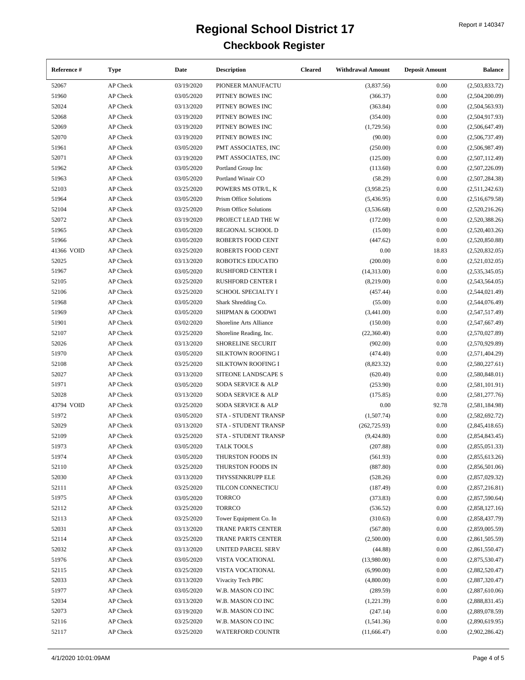| Reference # | Type     | Date       | <b>Description</b>                         | <b>Cleared</b> | <b>Withdrawal Amount</b> | <b>Deposit Amount</b> | <b>Balance</b>                   |
|-------------|----------|------------|--------------------------------------------|----------------|--------------------------|-----------------------|----------------------------------|
| 52067       | AP Check | 03/19/2020 | PIONEER MANUFACTU                          |                | (3,837.56)               | 0.00                  | (2,503,833.72)                   |
| 51960       | AP Check | 03/05/2020 | PITNEY BOWES INC                           |                | (366.37)                 | 0.00                  | (2,504,200.09)                   |
| 52024       | AP Check | 03/13/2020 | PITNEY BOWES INC                           |                | (363.84)                 | 0.00                  | (2,504,563.93)                   |
| 52068       | AP Check | 03/19/2020 | PITNEY BOWES INC                           |                | (354.00)                 | 0.00                  | (2,504,917.93)                   |
| 52069       | AP Check | 03/19/2020 | PITNEY BOWES INC                           |                | (1,729.56)               | 0.00                  | (2,506,647.49)                   |
| 52070       | AP Check | 03/19/2020 | PITNEY BOWES INC                           |                | (90.00)                  | 0.00                  | (2,506,737.49)                   |
| 51961       | AP Check | 03/05/2020 | PMT ASSOCIATES, INC                        |                | (250.00)                 | 0.00                  | (2,506,987.49)                   |
| 52071       | AP Check | 03/19/2020 | PMT ASSOCIATES, INC                        |                | (125.00)                 | 0.00                  | (2,507,112.49)                   |
| 51962       | AP Check | 03/05/2020 | Portland Group Inc                         |                | (113.60)                 | 0.00                  | (2,507,226.09)                   |
| 51963       | AP Check | 03/05/2020 | Portland Winair CO                         |                | (58.29)                  | 0.00                  | (2,507,284.38)                   |
| 52103       | AP Check | 03/25/2020 | POWERS MS OTR/L, K                         |                | (3,958.25)               | 0.00                  | (2,511,242.63)                   |
| 51964       | AP Check | 03/05/2020 | Prism Office Solutions                     |                | (5,436.95)               | 0.00                  | (2,516,679.58)                   |
| 52104       | AP Check | 03/25/2020 | Prism Office Solutions                     |                | (3,536.68)               | 0.00                  | (2,520,216.26)                   |
| 52072       | AP Check | 03/19/2020 | PROJECT LEAD THE W                         |                | (172.00)                 | 0.00                  | (2,520,388.26)                   |
| 51965       | AP Check | 03/05/2020 | REGIONAL SCHOOL D                          |                | (15.00)                  | 0.00                  | (2,520,403.26)                   |
| 51966       | AP Check | 03/05/2020 | ROBERTS FOOD CENT                          |                | (447.62)                 | 0.00                  | (2,520,850.88)                   |
| 41366 VOID  | AP Check | 03/25/2020 | ROBERTS FOOD CENT                          |                | 0.00                     | 18.83                 | (2,520,832.05)                   |
| 52025       | AP Check | 03/13/2020 | ROBOTICS EDUCATIO                          |                | (200.00)                 | 0.00                  | (2,521,032.05)                   |
| 51967       | AP Check | 03/05/2020 | <b>RUSHFORD CENTER I</b>                   |                | (14,313.00)              | 0.00                  | (2,535,345.05)                   |
| 52105       | AP Check | 03/25/2020 | <b>RUSHFORD CENTER I</b>                   |                | (8,219.00)               | 0.00                  | (2,543,564.05)                   |
| 52106       | AP Check | 03/25/2020 | SCHOOL SPECIALTY I                         |                | (457.44)                 | 0.00                  | (2,544,021.49)                   |
| 51968       | AP Check | 03/05/2020 | Shark Shredding Co.                        |                | (55.00)                  | 0.00                  | (2,544,076.49)                   |
| 51969       | AP Check | 03/05/2020 | SHIPMAN & GOODWI                           |                | (3,441.00)               | 0.00                  | (2,547,517.49)                   |
| 51901       | AP Check | 03/02/2020 | Shoreline Arts Alliance                    |                | (150.00)                 | 0.00                  | (2,547,667.49)                   |
| 52107       | AP Check | 03/25/2020 | Shoreline Reading, Inc.                    |                | (22,360.40)              | 0.00                  | (2,570,027.89)                   |
| 52026       | AP Check | 03/13/2020 | SHORELINE SECURIT                          |                | (902.00)                 | 0.00                  | (2,570,929.89)                   |
| 51970       | AP Check | 03/05/2020 | <b>SILKTOWN ROOFING I</b>                  |                | (474.40)                 | 0.00                  | (2,571,404.29)                   |
| 52108       | AP Check | 03/25/2020 | SILKTOWN ROOFING I                         |                | (8,823.32)               | 0.00                  | (2,580,227.61)                   |
| 52027       | AP Check | 03/13/2020 | SITEONE LANDSCAPE S                        |                | (620.40)                 | 0.00                  | (2,580,848.01)                   |
| 51971       | AP Check | 03/05/2020 | SODA SERVICE & ALP                         |                | (253.90)                 | 0.00                  | (2,581,101.91)                   |
| 52028       | AP Check | 03/13/2020 | SODA SERVICE & ALP                         |                | (175.85)                 | 0.00                  | (2,581,277.76)                   |
| 43794 VOID  | AP Check | 03/25/2020 |                                            |                | 0.00                     |                       |                                  |
| 51972       | AP Check | 03/05/2020 | SODA SERVICE & ALP<br>STA - STUDENT TRANSP |                |                          | 92.78<br>0.00         | (2,581,184.98)                   |
| 52029       |          | 03/13/2020 | STA - STUDENT TRANSP                       |                | (1,507.74)               | 0.00                  | (2,582,692.72)<br>(2,845,418.65) |
|             | AP Check |            |                                            |                | (262, 725.93)            |                       |                                  |
| 52109       | AP Check | 03/25/2020 | <b>STA - STUDENT TRANSP</b>                |                | (9,424.80)               | 0.00                  | (2,854,843.45)                   |
| 51973       | AP Check | 03/05/2020 | <b>TALK TOOLS</b>                          |                | (207.88)                 | 0.00                  | (2,855,051.33)                   |
| 51974       | AP Check | 03/05/2020 | THURSTON FOODS IN                          |                | (561.93)                 | 0.00                  | (2,855,613.26)                   |
| 52110       | AP Check | 03/25/2020 | THURSTON FOODS IN                          |                | (887.80)                 | 0.00                  | (2,856,501.06)                   |
| 52030       | AP Check | 03/13/2020 | THYSSENKRUPP ELE                           |                | (528.26)                 | 0.00                  | (2,857,029.32)                   |
| 52111       | AP Check | 03/25/2020 | TILCON CONNECTICU                          |                | (187.49)                 | 0.00                  | (2,857,216.81)                   |
| 51975       | AP Check | 03/05/2020 | <b>TORRCO</b>                              |                | (373.83)                 | 0.00                  | (2,857,590.64)                   |
| 52112       | AP Check | 03/25/2020 | <b>TORRCO</b>                              |                | (536.52)                 | 0.00                  | (2,858,127.16)                   |
| 52113       | AP Check | 03/25/2020 | Tower Equipment Co. In                     |                | (310.63)                 | 0.00                  | (2,858,437.79)                   |
| 52031       | AP Check | 03/13/2020 | TRANE PARTS CENTER                         |                | (567.80)                 | 0.00                  | (2,859,005.59)                   |
| 52114       | AP Check | 03/25/2020 | TRANE PARTS CENTER                         |                | (2,500.00)               | 0.00                  | (2,861,505.59)                   |
| 52032       | AP Check | 03/13/2020 | UNITED PARCEL SERV                         |                | (44.88)                  | 0.00                  | (2,861,550.47)                   |
| 51976       | AP Check | 03/05/2020 | VISTA VOCATIONAL                           |                | (13,980.00)              | 0.00                  | (2,875,530.47)                   |
| 52115       | AP Check | 03/25/2020 | VISTA VOCATIONAL                           |                | (6,990.00)               | 0.00                  | (2,882,520.47)                   |
| 52033       | AP Check | 03/13/2020 | Vivacity Tech PBC                          |                | (4,800.00)               | 0.00                  | (2,887,320.47)                   |
| 51977       | AP Check | 03/05/2020 | W.B. MASON CO INC                          |                | (289.59)                 | 0.00                  | (2,887,610.06)                   |
| 52034       | AP Check | 03/13/2020 | W.B. MASON CO INC                          |                | (1,221.39)               | 0.00                  | (2,888,831.45)                   |
| 52073       | AP Check | 03/19/2020 | W.B. MASON CO INC                          |                | (247.14)                 | 0.00                  | (2,889,078.59)                   |
| 52116       | AP Check | 03/25/2020 | W.B. MASON CO INC                          |                | (1,541.36)               | 0.00                  | (2,890,619.95)                   |
| 52117       | AP Check | 03/25/2020 | <b>WATERFORD COUNTR</b>                    |                | (11,666.47)              | 0.00                  | (2,902,286.42)                   |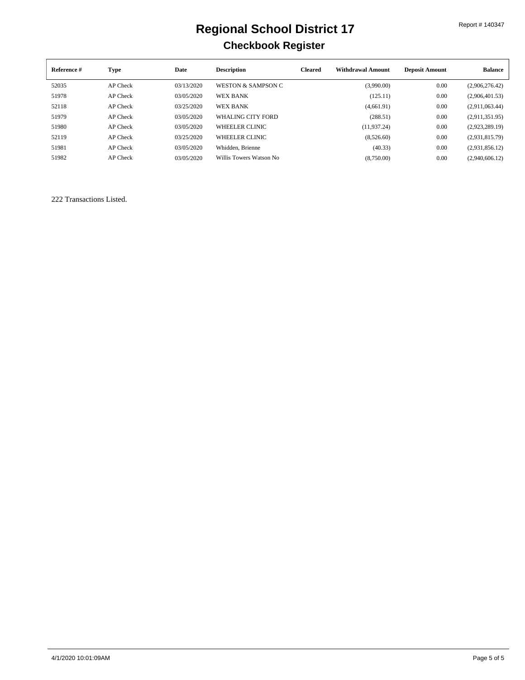| Reference # | Type     | Date       | <b>Description</b>            | <b>Cleared</b> | <b>Withdrawal Amount</b> | <b>Deposit Amount</b> | <b>Balance</b> |
|-------------|----------|------------|-------------------------------|----------------|--------------------------|-----------------------|----------------|
| 52035       | AP Check | 03/13/2020 | <b>WESTON &amp; SAMPSON C</b> |                | (3,990.00)               | 0.00                  | (2.906.276.42) |
| 51978       | AP Check | 03/05/2020 | <b>WEX BANK</b>               |                | (125.11)                 | 0.00                  | (2,906,401.53) |
| 52118       | AP Check | 03/25/2020 | <b>WEX BANK</b>               |                | (4,661.91)               | 0.00                  | (2,911,063.44) |
| 51979       | AP Check | 03/05/2020 | WHALING CITY FORD             |                | (288.51)                 | 0.00                  | (2,911,351.95) |
| 51980       | AP Check | 03/05/2020 | <b>WHEELER CLINIC</b>         |                | (11, 937, 24)            | 0.00                  | (2,923,289.19) |
| 52119       | AP Check | 03/25/2020 | WHEELER CLINIC                |                | (8,526.60)               | 0.00                  | (2,931,815.79) |
| 51981       | AP Check | 03/05/2020 | Whidden, Brienne              |                | (40.33)                  | 0.00                  | (2,931,856.12) |
| 51982       | AP Check | 03/05/2020 | Willis Towers Watson No       |                | (8,750.00)               | 0.00                  | (2,940,606.12) |

222 Transactions Listed.